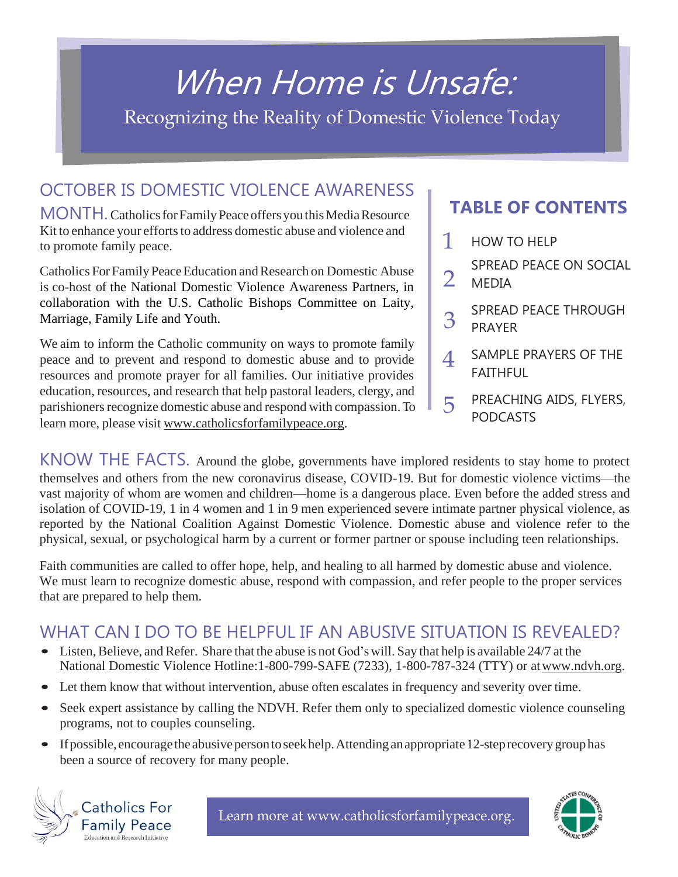# [When](http://www.catholicsforfamilypeace.org/) Home is Unsafe:

Recognizing the Reality of Domestic Violence Today

## [OCTOBER IS DOMESTIC VIOLENCE AWARENESS](http://www.catholicsforfamilypeace.org/)

MONTH. Catholics for Family Peace offers you this Media Resource Kit to enhance your efforts to address [domestic](http://www.catholicsforfamilypeace.org/) abuse and violence and [to promote family peace.](http://www.catholicsforfamilypeace.org/)

Catholics For Family Peace Education and Research [on Domestic Abuse](http://www.catholicsforfamilypeace.org/) is [co-host of](http://www.catholicsforfamilypeace.org/) the National Domestic Violence Awareness Partners, in collaboration with the U.S. Catholic Bishops Committee on Laity, Marriage, Family Life and Youth.

[We aim to inform the Catholic community on ways to promote family](http://www.catholicsforfamilypeace.org/) [peace and to prevent and respond to domestic abuse and to provide](http://www.catholicsforfamilypeace.org/) [resources and promote prayer for all families. Our initiative provides](http://www.catholicsforfamilypeace.org/) [education,](http://www.catholicsforfamilypeace.org/) resources, and research that help pastoral leaders, clergy, and parishioners recognize domestic abuse and respond with compassion. To learn more, please visit [www.catholicsforfamilypeace.org.](http://www.catholicsforfamilypeace.org/)

## **TABLE OF CONTENTS**

- 1 HOW TO HELP
- SPREAD PEACE ON SOCIAL MEDIA 2
- SPREAD PEACE THROUGH PRAYER 3
- SAMPLE PRAYERS OF THE **FAITHFUL** 4
- PREACHING AIDS, FLYERS, PODCASTS 5

[KNOW THE FACTS.](http://www.catholicsforfamilypeace.org/downloadable-resources.html) Around the globe, governments have implored residents to stay home to protect themselves and others from the new coronavirus disease, COVID-19. But for domestic violence victims—the vast majority of whom are women and children—home is a dangerous place. Even before the added stress and isolation of COVID-19, 1 in 4 women and 1 in 9 men experienced severe intimate partner physical violence, as reported by the National Coalition Against Domestic Violence. Domestic abuse and violence refer to the physical, sexual, or psychological harm by a current or former partner or spouse including teen relationships.

Faith communities are called to offer hope, help, and healing to all harmed by domestic abuse and violence. We must learn to recognize domestic abuse, respond with compassion, and refer people to the proper services that are prepared to help them.

## [WHAT CAN I DO TO BE HELPFUL IF AN ABUSIVE SITUATION IS REVEALED?](http://www.catholicsforfamilypeace.org/downloadable-resources.html)

- Listen, Believe, and Refer. Share that the abuse is not God's will. Say that help is available 24/7 at the National Domestic Violence Hotline:1-800-799-SAFE (7233), 1-800-787-324 (TTY) or a[twww.ndvh.org.](http://www.ndvh.org/)
- Let them know that without intervention, abuse often escalates in frequency and severity over time.
- Seek expert assistance by calling the NDVH. Refer them only to specialized domestic violence counseling programs, not to couples counseling.
- If possible, encourage the abusive person to seekhelp. Attending an appropriate 12-step recovery group has been a source of recovery for many people.



Learn more at [www.catholicsforfamilypeace.org.](http://www.catholicsforfamilypeace.org/)

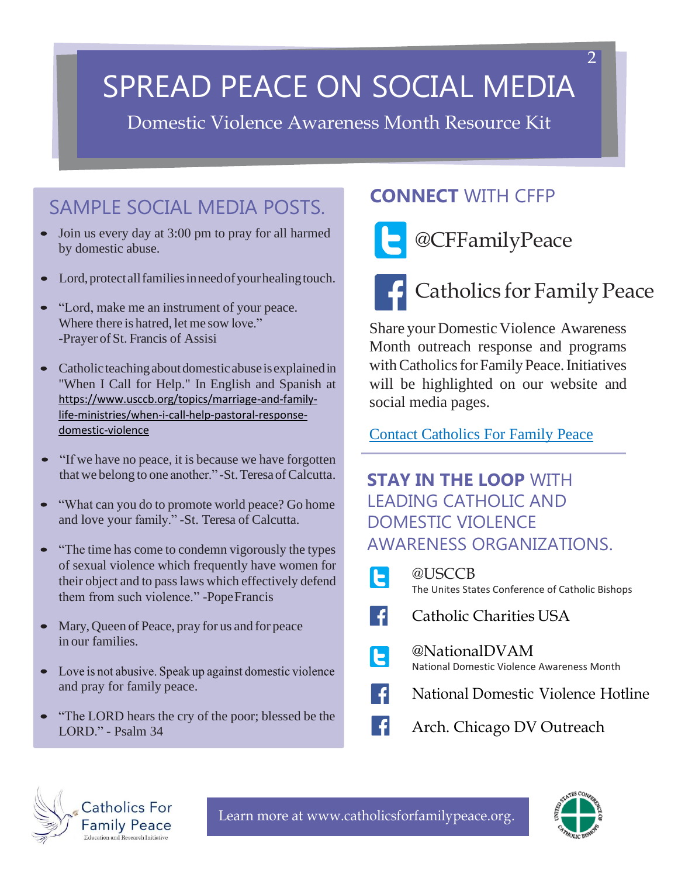# SPREAD PEACE ON SOCIAL MEDIA

Domestic Violence Awareness Month Resource Kit

# SAMPLE SOCIAL MEDIA POSTS.

- Join us every day at 3:00 pm to pray for all harmed by domestic abuse.
- Lord, protect all families in need of your healing touch.
- "Lord, make me an instrument of your peace.  $\bullet$ Where there is hatred, let me sow love." -Prayer of St. Francis of Assisi
- $\bullet$ Catholicteachingaboutdomesticabuseisexplainedin "When I Call for Help." In English and Spanish at [https://www.usccb.org/topics/marriage-and-family](https://www.usccb.org/topics/marriage-and-family-life-ministries/when-i-call-help-pastoral-response-domestic-violence)[life-ministries/when-i-call-help-pastoral-response](https://www.usccb.org/topics/marriage-and-family-life-ministries/when-i-call-help-pastoral-response-domestic-violence)[domestic-violence](https://www.usccb.org/topics/marriage-and-family-life-ministries/when-i-call-help-pastoral-response-domestic-violence)
- "If we have no peace, it is because we have forgotten that we belong to one another." -St. Teresa of Calcutta.
- "What can you do to promote world peace? Go home  $\bullet$ and love your family." -St. Teresa of Calcutta.
- "The time has come to condemn vigorously the types  $\bullet$ of sexual violence which frequently have women for their object and to passlaws which effectively defend them from such violence." -PopeFrancis
- $\bullet$ Mary,Queen of Peace, pray for us and for peace in our families.
- Love is not abusive. Speak up against domestic violence  $\bullet$ and pray for family peace.
- "The LORD hears the cry of the poor; blessed be the LORD." - Psalm 34

## **CONNECT** WITH CFFP



# [@CFFamilyPeace](https://twitter.com/CFFamilyPeace)

# [Catholics](https://www.facebook.com/CatholicFamilyPeace/%3Ffref%3Dts) for Family Peace

Share your Domestic Violence Awareness Month outreach response and programs with Catholics for Family Peace. Initiatives will be highlighted on our website and social media pages.

[Contact Catholics For Family Peace](http://www.catholicsforfamilypeace.org/contact-us.html)

## **STAY IN THE LOOP** WITH LEADING CATHOLIC AND DOMESTIC VIOLENCE AWARENESS ORGANIZATIONS.

| $\vert$ E       | @USCCB<br>The Unites States Conference of Catholic Bishops  |
|-----------------|-------------------------------------------------------------|
| E S             | <b>Catholic Charities USA</b>                               |
| $ {\mathsf E} $ | @NationalDVAM<br>National Domestic Violence Awareness Month |
| €               | National Domestic Violence Hotline                          |
| L€.             | Arch. Chicago DV Outreach                                   |



Learn more at [www.catholicsforfamilypeace.org.](http://www.catholicsforfamilypeace.org/)

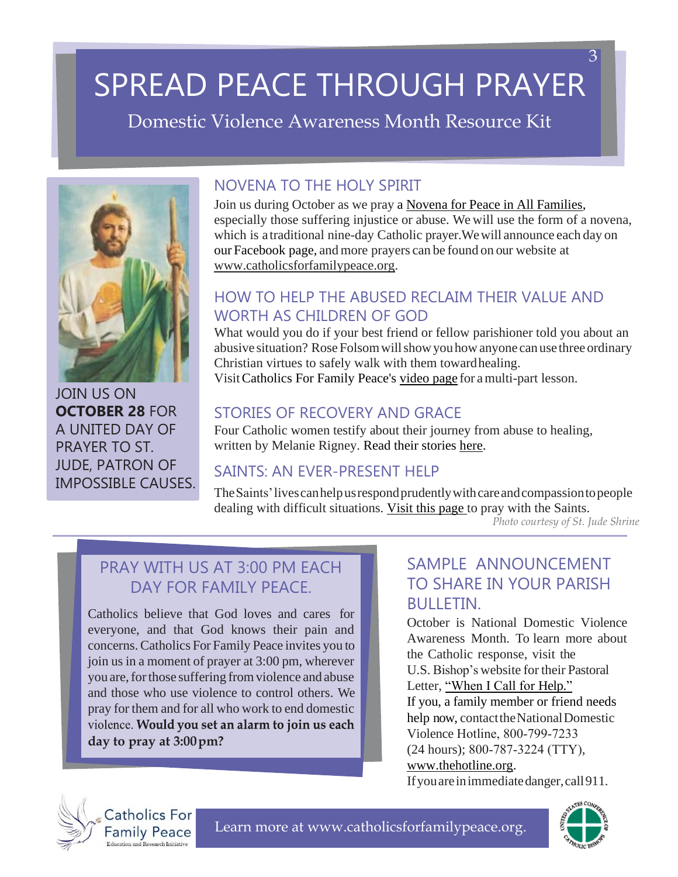# SPREAD PEACE THROUGH PRAYER

Domestic Violence Awareness Month Resource Kit



[JOIN US ON](http://www.catholicsforfamilypeace.org/prayer.html) **[OCTOBER 28](http://www.catholicsforfamilypeace.org/prayer.html)** [FOR](http://www.catholicsforfamilypeace.org/prayer.html) [A UNITED DAY OF](http://www.catholicsforfamilypeace.org/prayer.html) [PRAYER TO ST.](http://www.catholicsforfamilypeace.org/prayer.html) [JUDE, PATRON OF](http://www.catholicsforfamilypeace.org/prayer.html) [IMPOSSIBLE CAUSES.](http://www.catholicsforfamilypeace.org/prayer.html)

### [NOVENA TO THE HOLY SPIRIT](http://www.catholicsforfamilypeace.org/prayer.html)

Join us during October as we pray a Novena for Peace in All [Families,](http://www.catholicsforfamilypeace.org/uploads/1/3/3/0/133030287/novena_to_the_holy_spirit_for_family_peace.pdf) especially those suffering [injustice or abuse. We will use the form of a novena,](http://www.catholicsforfamilypeace.org/prayer.html)  [which is a](http://www.catholicsforfamilypeace.org/prayer.html) [traditional nine-day Catholic](http://www.catholicsforfamilypeace.org/prayer.html) prayer.Wewill announce each day on our [Facebook](https://www.facebook.com/CatholicFamilyPeace/) page, and more prayers can be found on our [website](http://www.catholicsforfamilypeace.org/prayer.html) at [www.catholicsforfamilypeace.org.](http://www.catholicsforfamilypeace.org/prayer.html)

### HOW TO HELP THE ABUSED RECLAIM THEIR VALUE AND [WORTH AS CHILDREN OF GOD](http://www.catholicsforfamilypeace.org/prayer.html)

[What would you do if your best friend or fellow parishioner told you about an](http://www.catholicsforfamilypeace.org/prayer.html) abusive situation? Rose Folsom will show you how anyone can use three ordinary [Christian virtues to safely walk with them towardhealing.](http://www.catholicsforfamilypeace.org/prayer.html) Visi[tCatholics For Family Peace's](http://www.catholicsforfamilypeace.org/video-resources.html) video page for amulti-part [lesson.](http://www.catholicsforfamilypeace.org/prayer.html)

### STORIES OF RECOVERY AND GRACE

Four Catholic women testify about their journey from abuse to healing, written by Melanie Rigney. [Read their stories here.](http://www.catholicsforfamilypeace.org/uploads/1/3/3/0/133030287/dvam_2020_four_abuse_recovery_stories.pdf)

### SAINTS: AN EVER-PRESENT HELP

[TheSaints'livescanhelpusrespondprudentlywithcareandcompassiontopeople](http://www.catholicsforfamilypeace.org/prayer.html) [dealing with difficult](http://www.catholicsforfamilypeace.org/prayer.html) situations. [Visit this page](http://www.catholicsforfamilypeace.org/pray-with-the-saints.html) to pray with the Saints. *Photo courtesy of St. Jude Shrine*

## [PRAY WITH US AT 3:00 PM EACH](http://www.catholicsforfamilypeace.org/prayer.html) DAY FOR FAMILY PFACE.

[Catholics believe that God loves and cares](http://www.catholicsforfamilypeace.org/prayer.html) for [everyone, and that God knows their pain and](http://www.catholicsforfamilypeace.org/prayer.html)  [concerns.Catholics](http://www.catholicsforfamilypeace.org/prayer.html) For Family Peace invites you to join us in a moment of prayer at 3:00 pm, [wherever](http://www.catholicsforfamilypeace.org/prayer.html)  you are, for those suffering from violence and abuse [and those who use violence to control others. We](http://www.catholicsforfamilypeace.org/prayer.html)  pray for them and for all who work to end [domestic](http://www.catholicsforfamilypeace.org/prayer.html)  violence. Would you set an alarm to join us each **[day to pray at](http://www.catholicsforfamilypeace.org/prayer.html) 3:00pm?**

### SAMPLE ANNOUNCEMENT TO SHARE IN YOUR PARISH BULLETIN.

October is National [Domestic](http://www.usccb.org/issues-and-action/marriage-and-family/marriage/domestic-violence/when-i-call-for-help.cfm) Violence [Awareness Month. To learn more](http://www.usccb.org/issues-and-action/marriage-and-family/marriage/domestic-violence/when-i-call-for-help.cfm) [about](http://www.usccb.org/issues-and-action/marriage-and-family/marriage/domestic-violence/when-i-call-for-help.cfm) the Catholic [response,](http://www.usccb.org/issues-and-action/marriage-and-family/marriage/domestic-violence/when-i-call-for-help.cfm) visit the U.S. [Bishop's](http://www.usccb.org/issues-and-action/marriage-and-family/marriage/domestic-violence/when-i-call-for-help.cfm) website for their Pastoral Letter, ["When I Call for Help."](https://www.usccb.org/topics/marriage-and-family-life-ministries/when-i-call-help-pastoral-response-domestic-violence) [If you, a family member or friend needs](http://www.usccb.org/issues-and-action/marriage-and-family/marriage/domestic-violence/when-i-call-for-help.cfm)  [help now,](http://www.usccb.org/issues-and-action/marriage-and-family/marriage/domestic-violence/when-i-call-for-help.cfm) contact the National Domestic Violence [Hotline, 800‐799‐7233](http://www.usccb.org/issues-and-action/marriage-and-family/marriage/domestic-violence/when-i-call-for-help.cfm)  [\(24 hours\);](http://www.usccb.org/issues-and-action/marriage-and-family/marriage/domestic-violence/when-i-call-for-help.cfm) 800‐787‐3224 (TTY), [www.thehotline.org](https://www.thehotline.org/)[.](http://www.usccb.org/issues-and-action/marriage-and-family/marriage/domestic-violence/when-i-call-for-help.cfm) [Ifyouareinimmediatedanger,call911.](http://www.usccb.org/issues-and-action/marriage-and-family/marriage/domestic-violence/when-i-call-for-help.cfm)

**Catholics For Family Peace** 

Learn more at [www.catholicsforfamilypeace.org.](http://www.catholicsforfamilypeace.org/)



3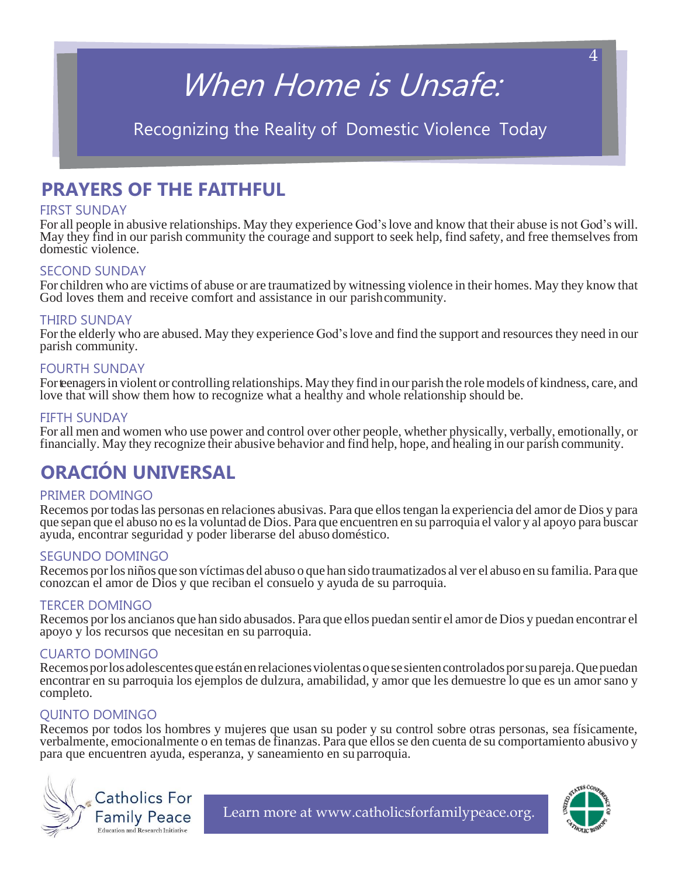# When Home is Unsafe:

## Recognizing the Reality of Domestic Violence Today

## **PRAYERS OF THE FAITHFUL**

#### FIRST SUNDAY

For all people in abusive relationships. May they experience God'slove and know that their abuse is not God's will. May they find in our parish community the courage and support to seek help, find safety, and free themselves from domestic violence.

#### SECOND SUNDAY

For children who are victims of abuse or are traumatized by witnessing violence in their homes. May they know that God loves them and receive comfort and assistance in our parishcommunity.

#### THIRD SUNDAY

For the elderly who are abused. May they experience God's love and find the support and resources they need in our parish community.

#### FOURTH SUNDAY

For teenagers in violent or controlling relationships. May they find in our parish the role models of kindness, care, and love that will show them how to recognize what a healthy and whole relationship should be.

#### FIFTH SUNDAY

For all men and women who use power and control over other people, whether physically, verbally, emotionally, or financially. May they recognize their abusive behavior and find help, hope, and healing in our parish community.

# **ORACIÓN UNIVERSAL**

#### PRIMER DOMINGO

Recemos por todaslas personas en relaciones abusivas. Para que ellostengan la experiencia del amor de Dios y para que sepan que el abuso no esla voluntad de Dios. Para que encuentren en su parroquia el valor y al apoyo para buscar ayuda, encontrar seguridad y poder liberarse del abuso doméstico.

#### SEGUNDO DOMINGO

Recemos porlos niños que son víctimas del abuso o que han sido traumatizados al ver el abuso en su familia. Para que conozcan el amor de Dios y que reciban el consuelo y ayuda de su parroquia.

#### TERCER DOMINGO

Recemos porlos ancianos que han sido abusados. Para que ellos puedan sentir el amor de Dios y puedan encontrar el apoyo y los recursos que necesitan en su parroquia.

#### CUARTO DOMINGO

Recemos por los adolescentes que están en relaciones violentas o que se sienten controlados por su pareja. Que puedan encontrar en su parroquia los ejemplos de dulzura, amabilidad, y amor que les demuestre lo que es un amor sano y completo.

#### QUINTO DOMINGO

Recemos por todos los hombres y mujeres que usan su poder y su control sobre otras personas, sea físicamente, verbalmente, emocionalmente o en temas de finanzas. Para que ellosse den cuenta de su comportamiento abusivo y para que encuentren ayuda, esperanza, y saneamiento en su parroquia.